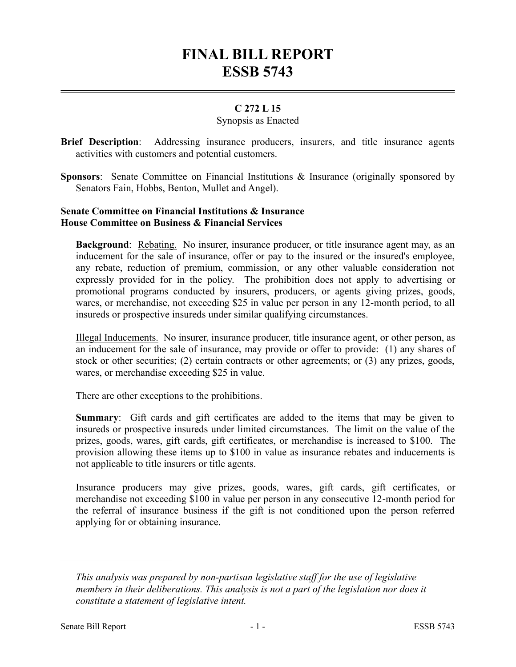# **FINAL BILL REPORT ESSB 5743**

## **C 272 L 15**

### Synopsis as Enacted

- **Brief Description**: Addressing insurance producers, insurers, and title insurance agents activities with customers and potential customers.
- **Sponsors**: Senate Committee on Financial Institutions & Insurance (originally sponsored by Senators Fain, Hobbs, Benton, Mullet and Angel).

### **Senate Committee on Financial Institutions & Insurance House Committee on Business & Financial Services**

**Background:** Rebating. No insurer, insurance producer, or title insurance agent may, as an inducement for the sale of insurance, offer or pay to the insured or the insured's employee, any rebate, reduction of premium, commission, or any other valuable consideration not expressly provided for in the policy. The prohibition does not apply to advertising or promotional programs conducted by insurers, producers, or agents giving prizes, goods, wares, or merchandise, not exceeding \$25 in value per person in any 12-month period, to all insureds or prospective insureds under similar qualifying circumstances.

Illegal Inducements. No insurer, insurance producer, title insurance agent, or other person, as an inducement for the sale of insurance, may provide or offer to provide: (1) any shares of stock or other securities; (2) certain contracts or other agreements; or (3) any prizes, goods, wares, or merchandise exceeding \$25 in value.

There are other exceptions to the prohibitions.

**Summary**: Gift cards and gift certificates are added to the items that may be given to insureds or prospective insureds under limited circumstances. The limit on the value of the prizes, goods, wares, gift cards, gift certificates, or merchandise is increased to \$100. The provision allowing these items up to \$100 in value as insurance rebates and inducements is not applicable to title insurers or title agents.

Insurance producers may give prizes, goods, wares, gift cards, gift certificates, or merchandise not exceeding \$100 in value per person in any consecutive 12-month period for the referral of insurance business if the gift is not conditioned upon the person referred applying for or obtaining insurance.

––––––––––––––––––––––

*This analysis was prepared by non-partisan legislative staff for the use of legislative members in their deliberations. This analysis is not a part of the legislation nor does it constitute a statement of legislative intent.*